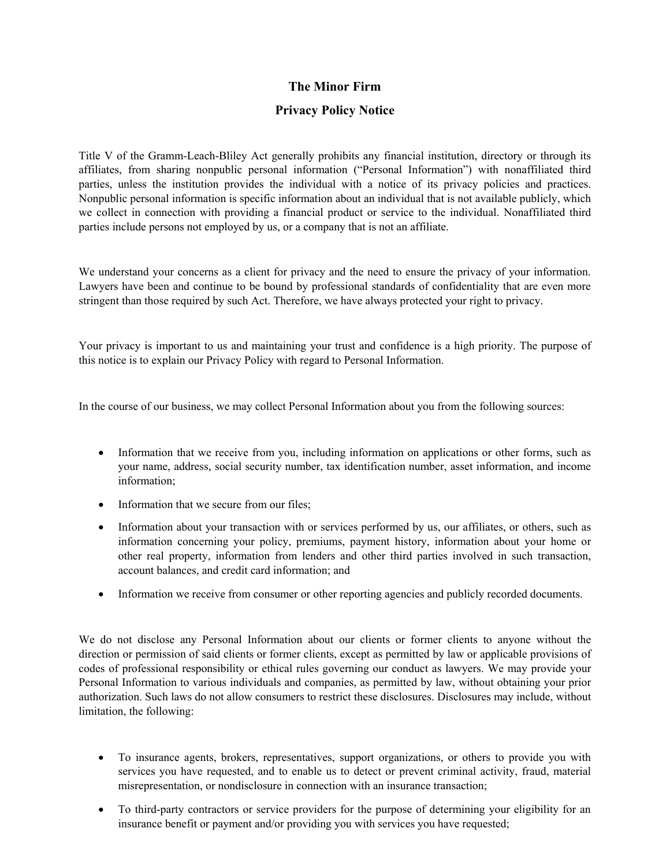## **The Minor Firm**

## **Privacy Policy Notice**

Title V of the Gramm-Leach-Bliley Act generally prohibits any financial institution, directory or through its affiliates, from sharing nonpublic personal information ("Personal Information") with nonaffiliated third parties, unless the institution provides the individual with a notice of its privacy policies and practices. Nonpublic personal information is specific information about an individual that is not available publicly, which we collect in connection with providing a financial product or service to the individual. Nonaffiliated third parties include persons not employed by us, or a company that is not an affiliate.

We understand your concerns as a client for privacy and the need to ensure the privacy of your information. Lawyers have been and continue to be bound by professional standards of confidentiality that are even more stringent than those required by such Act. Therefore, we have always protected your right to privacy.

Your privacy is important to us and maintaining your trust and confidence is a high priority. The purpose of this notice is to explain our Privacy Policy with regard to Personal Information.

In the course of our business, we may collect Personal Information about you from the following sources:

- Information that we receive from you, including information on applications or other forms, such as your name, address, social security number, tax identification number, asset information, and income information;
- Information that we secure from our files;
- Information about your transaction with or services performed by us, our affiliates, or others, such as information concerning your policy, premiums, payment history, information about your home or other real property, information from lenders and other third parties involved in such transaction, account balances, and credit card information; and
- Information we receive from consumer or other reporting agencies and publicly recorded documents.

We do not disclose any Personal Information about our clients or former clients to anyone without the direction or permission of said clients or former clients, except as permitted by law or applicable provisions of codes of professional responsibility or ethical rules governing our conduct as lawyers. We may provide your Personal Information to various individuals and companies, as permitted by law, without obtaining your prior authorization. Such laws do not allow consumers to restrict these disclosures. Disclosures may include, without limitation, the following:

- To insurance agents, brokers, representatives, support organizations, or others to provide you with services you have requested, and to enable us to detect or prevent criminal activity, fraud, material misrepresentation, or nondisclosure in connection with an insurance transaction;
- To third-party contractors or service providers for the purpose of determining your eligibility for an insurance benefit or payment and/or providing you with services you have requested;